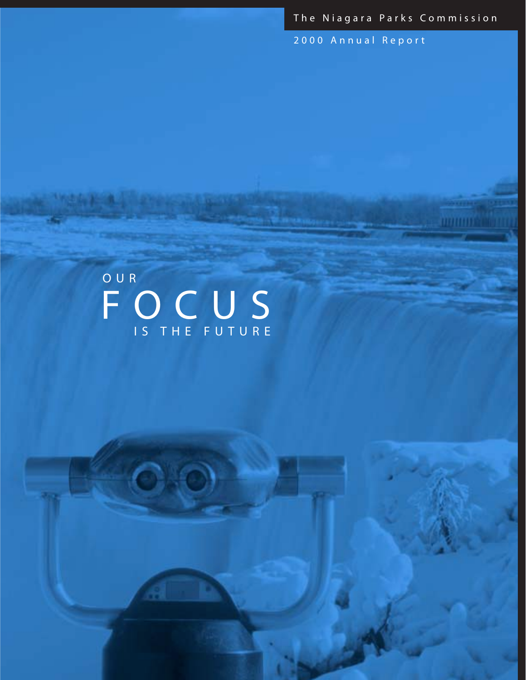The Niagara Parks Commission

**URILIUM** 

2000 Annual Report

# FOCUS OUR IS THE FUTURE

 $O$   $O$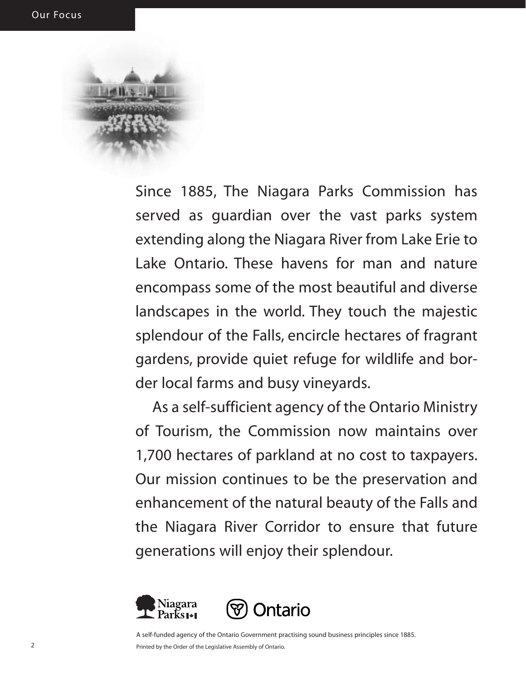Since 1885, The Niagara Parks Commission has served as guardian over the vast parks system extending along the Niagara River from Lake Erie to Lake Ontario. These havens for man and nature encompass some of the most beautiful and diverse landscapes in the world. They touch the majestic splendour of the Falls, encircle hectares of fragrant gardens, provide quiet refuge for wildlife and border local farms and busy vineyards.

As a self-sufficient agency of the Ontario Ministry of Tourism, the Commission now maintains over 1,700 hectares of parkland at no cost to taxpayers. Our mission continues to be the preservation and enhancement of the natural beauty of the Falls and the Niagara River Corridor to ensure that future generations will enjoy their splendour.





A self-funded agency of the Ontario Government practising sound business principles since 1885. Printed by the Order of the Legislative Assembly of Ontario.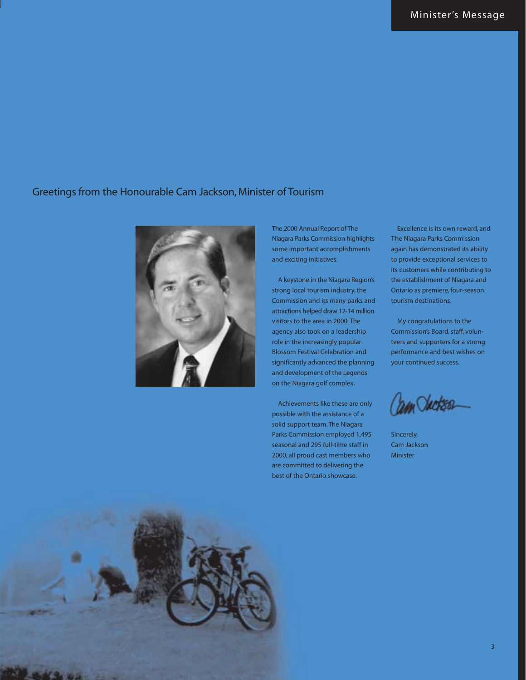#### Greetings from the Honourable Cam Jackson, Minister of Tourism



The 2000 Annual Report of The Niagara Parks Commission highlights some important accomplishments and exciting initiatives.

A keystone in the Niagara Region's strong local tourism industry, the Commission and its many parks and attractions helped draw 12-14 million visitors to the area in 2000. The agency also took on a leadership role in the increasingly popular Blossom Festival Celebration and significantly advanced the planning and development of the Legends on the Niagara golf complex.

Achievements like these are only possible with the assistance of a solid support team. The Niagara Parks Commission employed 1,495 seasonal and 295 full-time staff in 2000, all proud cast members who are committed to delivering the best of the Ontario showcase.

Excellence is its own reward, and The Niagara Parks Commission again has demonstrated its ability to provide exceptional services to its customers while contributing to the establishment of Niagara and Ontario as premiere, four-season tourism destinations.

My congratulations to the Commission's Board, staff, volunteers and supporters for a strong performance and best wishes on your continued success.

*DAN CALCASO* 

Sincerely, Cam Jackson Minister

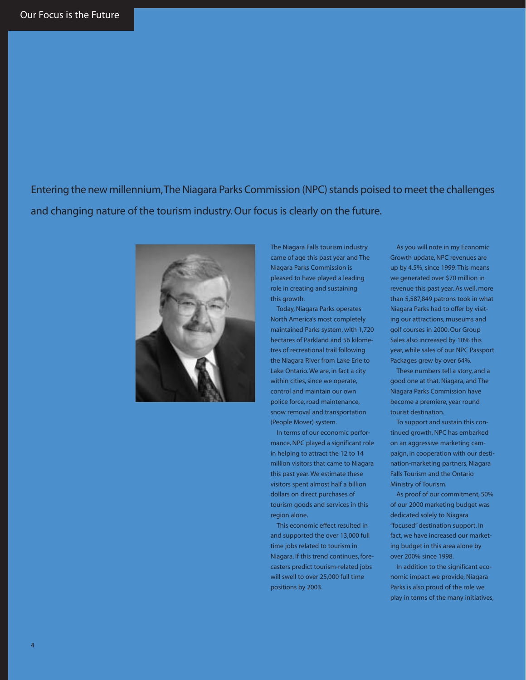Entering the new millennium,The Niagara Parks Commission (NPC) stands poised to meet the challenges and changing nature of the tourism industry. Our focus is clearly on the future.



The Niagara Falls tourism industry came of age this past year and The Niagara Parks Commission is pleased to have played a leading role in creating and sustaining this growth.

Today, Niagara Parks operates North America's most completely maintained Parks system, with 1,720 hectares of Parkland and 56 kilometres of recreational trail following the Niagara River from Lake Erie to Lake Ontario. We are, in fact a city within cities, since we operate, control and maintain our own police force, road maintenance, snow removal and transportation (People Mover) system.

In terms of our economic performance, NPC played a significant role in helping to attract the 12 to 14 million visitors that came to Niagara this past year. We estimate these visitors spent almost half a billion dollars on direct purchases of tourism goods and services in this region alone.

This economic effect resulted in and supported the over 13,000 full time jobs related to tourism in Niagara. If this trend continues, forecasters predict tourism-related jobs will swell to over 25,000 full time positions by 2003.

As you will note in my Economic Growth update, NPC revenues are up by 4.5%, since 1999. This means we generated over \$70 million in revenue this past year. As well, more than 5,587,849 patrons took in what Niagara Parks had to offer by visiting our attractions, museums and golf courses in 2000. Our Group Sales also increased by 10% this year, while sales of our NPC Passport Packages grew by over 64%.

These numbers tell a story, and a good one at that. Niagara, and The Niagara Parks Commission have become a premiere, year round tourist destination.

To support and sustain this continued growth, NPC has embarked on an aggressive marketing campaign, in cooperation with our destination-marketing partners, Niagara Falls Tourism and the Ontario Ministry of Tourism.

As proof of our commitment, 50% of our 2000 marketing budget was dedicated solely to Niagara "focused" destination support. In fact, we have increased our marketing budget in this area alone by over 200% since 1998.

In addition to the significant economic impact we provide, Niagara Parks is also proud of the role we play in terms of the many initiatives,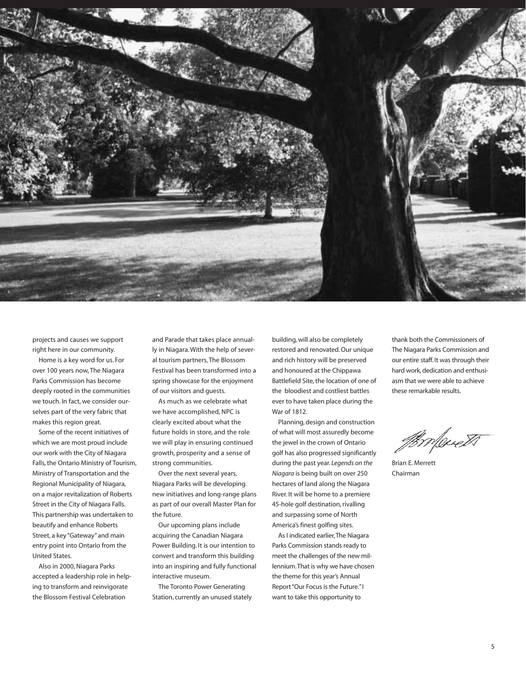

projects and causes we support right here in our community.

Home is a key word for us. For over 100 years now, The Niagara Parks Commission has become deeply rooted in the communities we touch. In fact, we consider ourselves part of the very fabric that makes this region great.

Some of the recent initiatives of which we are most proud include our work with the City of Niagara Falls, the Ontario Ministry of Tourism, Ministry of Transportation and the Regional Municipality of Niagara, on a major revitalization of Roberts Street in the City of Niagara Falls. This partnership was undertaken to beautify and enhance Roberts Street, a key "Gateway" and main entry point into Ontario from the United States.

Also in 2000, Niagara Parks accepted a leadership role in helping to transform and reinvigorate the Blossom Festival Celebration

and Parade that takes place annually in Niagara. With the help of several tourism partners, The Blossom Festival has been transformed into a spring showcase for the enjoyment of our visitors and guests.

As much as we celebrate what we have accomplished, NPC is clearly excited about what the future holds in store, and the role we will play in ensuring continued growth, prosperity and a sense of strong communities.

Over the next several years, Niagara Parks will be developing new initiatives and long-range plans as part of our overall Master Plan for the future.

Our upcoming plans include acquiring the Canadian Niagara Power Building. It is our intention to convert and transform this building into an inspiring and fully functional interactive museum.

The Toronto Power Generating Station, currently an unused stately building, will also be completely restored and renovated. Our unique and rich history will be preserved and honoured at the Chippawa Battlefield Site, the location of one of the bloodiest and costliest battles ever to have taken place during the War of 1812.

Planning, design and construction of what will most assuredly become the jewel in the crown of Ontario golf has also progressed significantly during the past year. *Legends on the Niagara* is being built on over 250 hectares of land along the Niagara River. It will be home to a premiere 45-hole golf destination, rivalling and surpassing some of North America's finest golfing sites.

As I indicated earlier,The Niagara Parks Commission stands ready to meet the challenges of the new millennium.That is why we have chosen the theme for this year's Annual Report "Our Focus is the Future."I want to take this opportunity to

thank both the Commissioners of The Niagara Parks Commission and our entire staff. It was through their hard work, dedication and enthusiasm that we were able to achieve these remarkable results.

Brolevett

Brian E. Merrett Chairman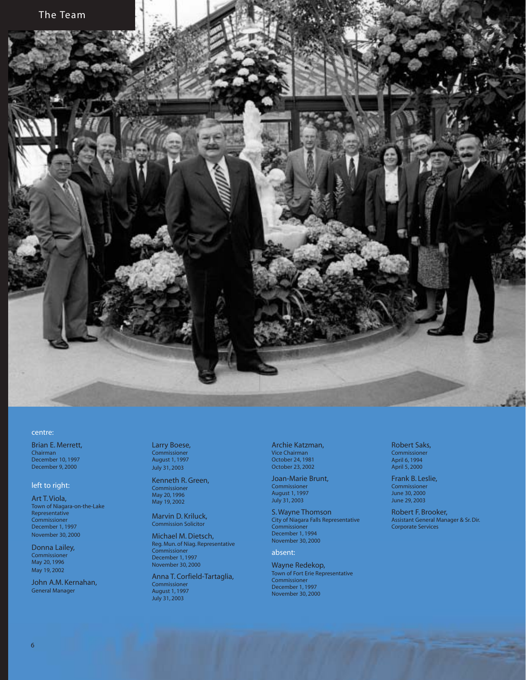

#### centre:

Brian E. Merrett, Chairman December 10, 1997 December 9, 2000

#### left to right:

Art T. Viola, Town of Niagara-on-the-Lake Representative Commissioner December 1, 1997 November 30, 2000

Donna Lailey, Commissioner May 20, 1996 May 19, 2002

John A.M. Kernahan, General Manager

Larry Boese, Commissioner August 1, 1997 July 31, 2003

Kenneth R. Green, Commissioner May 20, 1996 May 19, 2002

Marvin D. Kriluck, Commission Solicitor

Michael M. Dietsch, Reg. Mun. of Niag. Representative Commissioner December 1, 1997 November 30, 2000

Anna T. Corfield-Tartaglia, Commissioner August 1, 1997 July 31, 2003

Archie Katzman, Vice Chairman October 24, 1981 October 23, 2002

Joan-Marie Brunt, Commissioner August 1, 1997 July 31, 2003

S. Wayne Thomson City of Niagara Falls Representative Commissioner December 1, 1994 November 30, 2000

absent:

Wayne Redekop, Town of Fort Erie Representative Commissioner December 1, 1997 November 30, 2000

Robert Saks, Commissioner April 6, 1994 April 5, 2000

Frank B. Leslie, Commissioner June 30, 2000 June 29, 2003

Robert F. Brooker, Assistant General Manager & Sr. Dir. Corporate Services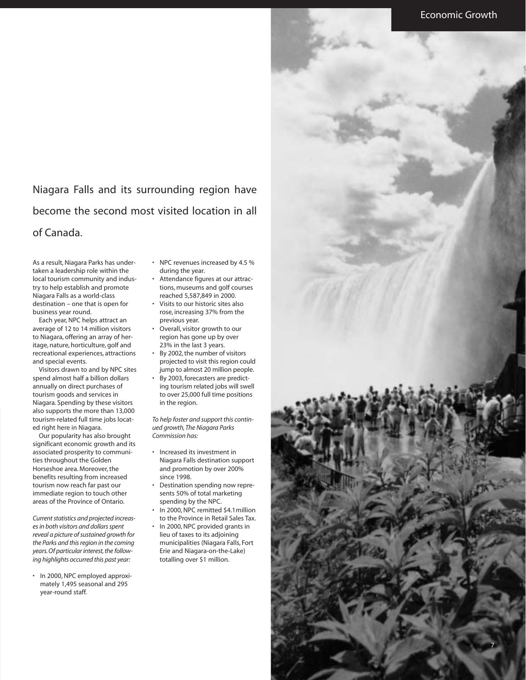Niagara Falls and its surrounding region have become the second most visited location in all of Canada.

As a result, Niagara Parks has undertaken a leadership role within the local tourism community and industry to help establish and promote Niagara Falls as a world-class destination – one that is open for business year round.

Each year, NPC helps attract an average of 12 to 14 million visitors to Niagara, offering an array of heritage, nature, horticulture, golf and recreational experiences, attractions and special events.

Visitors drawn to and by NPC sites spend almost half a billion dollars annually on direct purchases of tourism goods and services in Niagara. Spending by these visitors also supports the more than 13,000 tourism-related full time jobs located right here in Niagara.

Our popularity has also brought significant economic growth and its associated prosperity to communities throughout the Golden Horseshoe area. Moreover, the benefits resulting from increased tourism now reach far past our immediate region to touch other areas of the Province of Ontario.

*Current statistics and projected increases in both visitors and dollars spent reveal a picture of sustained growth for the Parks and this region in the coming years. Of particular interest, the following highlights occurred this past year:*

• In 2000, NPC employed approximately 1,495 seasonal and 295 year-round staff.

- NPC revenues increased by 4.5 % during the year.
- Attendance figures at our attractions, museums and golf courses reached 5,587,849 in 2000.
- Visits to our historic sites also rose, increasing 37% from the previous year.
- Overall, visitor growth to our region has gone up by over 23% in the last 3 years.
- By 2002, the number of visitors projected to visit this region could jump to almost 20 million people.
- By 2003, forecasters are predicting tourism related jobs will swell to over 25,000 full time positions in the region.

*To help foster and support this continued growth,The Niagara Parks Commission has:*

- Increased its investment in Niagara Falls destination support and promotion by over 200% since 1998.
- Destination spending now represents 50% of total marketing spending by the NPC.
- In 2000, NPC remitted \$4.1million to the Province in Retail Sales Tax.
- In 2000, NPC provided grants in lieu of taxes to its adjoining municipalities (Niagara Falls, Fort Erie and Niagara-on-the-Lake) totalling over \$1 million.

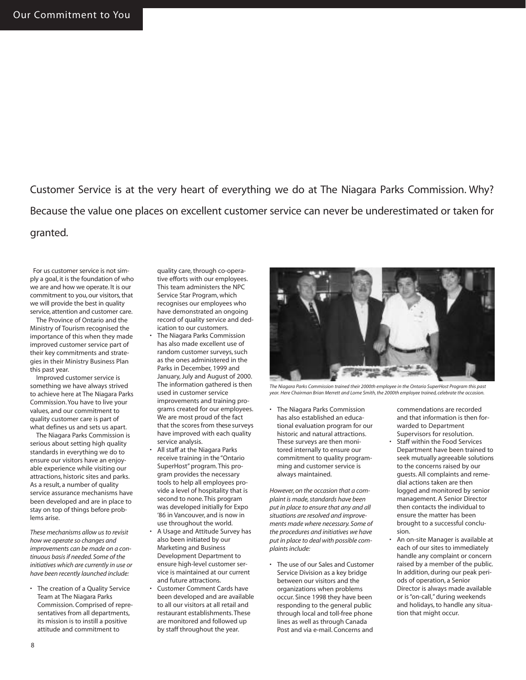Customer Service is at the very heart of everything we do at The Niagara Parks Commission. Why? Because the value one places on excellent customer service can never be underestimated or taken for granted.

For us customer service is not simply a goal, it is the foundation of who we are and how we operate. It is our commitment to you, our visitors, that we will provide the best in quality service, attention and customer care.

The Province of Ontario and the Ministry of Tourism recognised the importance of this when they made improved customer service part of their key commitments and strategies in their Ministry Business Plan this past year.

Improved customer service is something we have always strived to achieve here at The Niagara Parks Commission. You have to live your values, and our commitment to quality customer care is part of what defines us and sets us apart.

The Niagara Parks Commission is serious about setting high quality standards in everything we do to ensure our visitors have an enjoyable experience while visiting our attractions, historic sites and parks. As a result, a number of quality service assurance mechanisms have been developed and are in place to stay on top of things before problems arise.

*These mechanisms allow us to revisit how we operate so changes and improvements can be made on a continuous basis if needed. Some of the initiatives which are currently in use or have been recently launched include:*

• The creation of a Quality Service Team at The Niagara Parks Commission. Comprised of representatives from all departments, its mission is to instill a positive attitude and commitment to

quality care, through co-operative efforts with our employees. This team administers the NPC Service Star Program, which recognises our employees who have demonstrated an ongoing record of quality service and dedication to our customers.

- The Niagara Parks Commission has also made excellent use of random customer surveys, such as the ones administered in the Parks in December, 1999 and January, July and August of 2000. The information gathered is then used in customer service improvements and training programs created for our employees. We are most proud of the fact that the scores from these surveys have improved with each quality service analysis.
- All staff at the Niagara Parks receive training in the "Ontario SuperHost" program. This program provides the necessary tools to help all employees provide a level of hospitality that is second to none. This program was developed initially for Expo '86 in Vancouver, and is now in use throughout the world.
- A Usage and Attitude Survey has also been initiated by our Marketing and Business Development Department to ensure high-level customer service is maintained at our current and future attractions.
- Customer Comment Cards have been developed and are available to all our visitors at all retail and restaurant establishments. These are monitored and followed up by staff throughout the year.



*The Niagara Parks Commission trained their 2000th employee in the Ontario SuperHost Program this past year. Here Chairman Brian Merrett and Lorne Smith, the 2000th employee trained, celebrate the occasion.*

• The Niagara Parks Commission has also established an educational evaluation program for our historic and natural attractions. These surveys are then monitored internally to ensure our commitment to quality programming and customer service is always maintained.

*However, on the occasion that a complaint is made, standards have been put in place to ensure that any and all situations are resolved and improvements made where necessary. Some of the procedures and initiatives we have put in place to deal with possible complaints include:*

• The use of our Sales and Customer Service Division as a key bridge between our visitors and the organizations when problems occur. Since 1998 they have been responding to the general public through local and toll-free phone lines as well as through Canada Post and via e-mail. Concerns and

commendations are recorded and that information is then forwarded to Department Supervisors for resolution.

- Staff within the Food Services Department have been trained to seek mutually agreeable solutions to the concerns raised by our guests. All complaints and remedial actions taken are then logged and monitored by senior management. A Senior Director then contacts the individual to ensure the matter has been brought to a successful conclusion.
- An on-site Manager is available at each of our sites to immediately handle any complaint or concern raised by a member of the public. In addition, during our peak periods of operation, a Senior Director is always made available or is "on-call," during weekends and holidays, to handle any situation that might occur.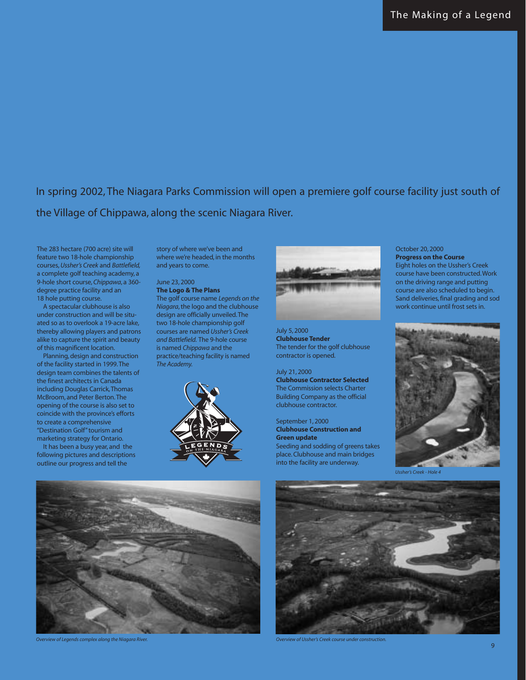In spring 2002, The Niagara Parks Commission will open a premiere golf course facility just south of the Village of Chippawa, along the scenic Niagara River.

The 283 hectare (700 acre) site will feature two 18-hole championship courses,*Ussher's Creek* and *Battlefield,* a complete golf teaching academy, a 9-hole short course, *Chippawa*, a 360 degree practice facility and an 18 hole putting course.

A spectacular clubhouse is also under construction and will be situated so as to overlook a 19-acre lake, thereby allowing players and patrons alike to capture the spirit and beauty of this magnificent location.

Planning, design and construction of the facility started in 1999.The design team combines the talents of the finest architects in Canada including Douglas Carrick,Thomas McBroom, and Peter Berton.The opening of the course is also set to coincide with the province's efforts to create a comprehensive "Destination Golf" tourism and marketing strategy for Ontario.

It has been a busy year, and the following pictures and descriptions outline our progress and tell the

story of where we've been and where we're headed, in the months and years to come.

#### June 23, 2000 **The Logo & The Plans**

The golf course name *Legends on the Niagara*, the logo and the clubhouse design are officially unveiled.The two 18-hole championship golf courses are named *Ussher's Creek and Battlefield.* The 9-hole course is named *Chippawa* and the practice/teaching facility is named *The Academy.*





July 5, 2000 **Clubhouse Tender** The tender for the golf clubhouse contractor is opened.

July 21, 2000 **Clubhouse Contractor Selected** The Commission selects Charter Building Company as the official clubhouse contractor.

September 1, 2000 **Clubhouse Construction and Green update** Seeding and sodding of greens takes place. Clubhouse and main bridges into the facility are underway.

October 20, 2000 **Progress on the Course** Eight holes on the Ussher's Creek course have been constructed.Work on the driving range and putting course are also scheduled to begin.

Sand deliveries, final grading and sod work continue until frost sets in.



*Ussher's Creek - Hole 4*



**Overview of Legends complex along the Niagara River.** Overview of Ussher's Creek course under construction.

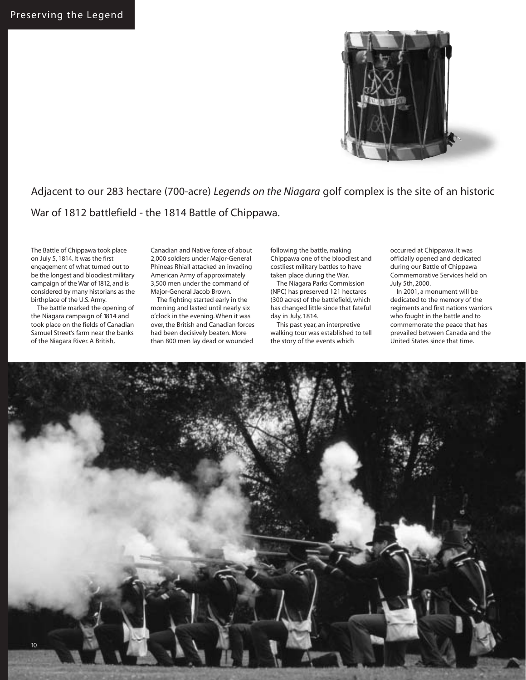

Adjacent to our 283 hectare (700-acre) *Legends on the Niagara* golf complex is the site of an historic War of 1812 battlefield - the 1814 Battle of Chippawa.

The Battle of Chippawa took place on July 5, 1814. It was the first engagement of what turned out to be the longest and bloodiest military campaign of the War of 1812, and is considered by many historians as the birthplace of the U.S. Army.

The battle marked the opening of the Niagara campaign of 1814 and took place on the fields of Canadian Samuel Street's farm near the banks of the Niagara River. A British,

Canadian and Native force of about 2,000 soldiers under Major-General Phineas Rhiall attacked an invading American Army of approximately 3,500 men under the command of Major-General Jacob Brown.

The fighting started early in the morning and lasted until nearly six o'clock in the evening. When it was over, the British and Canadian forces had been decisively beaten. More than 800 men lay dead or wounded

following the battle, making Chippawa one of the bloodiest and costliest military battles to have taken place during the War.

The Niagara Parks Commission (NPC) has preserved 121 hectares (300 acres) of the battlefield, which has changed little since that fateful day in July, 1814.

This past year, an interpretive walking tour was established to tell the story of the events which

occurred at Chippawa. It was officially opened and dedicated during our Battle of Chippawa Commemorative Services held on July 5th, 2000.

In 2001, a monument will be dedicated to the memory of the regiments and first nations warriors who fought in the battle and to commemorate the peace that has prevailed between Canada and the United States since that time.

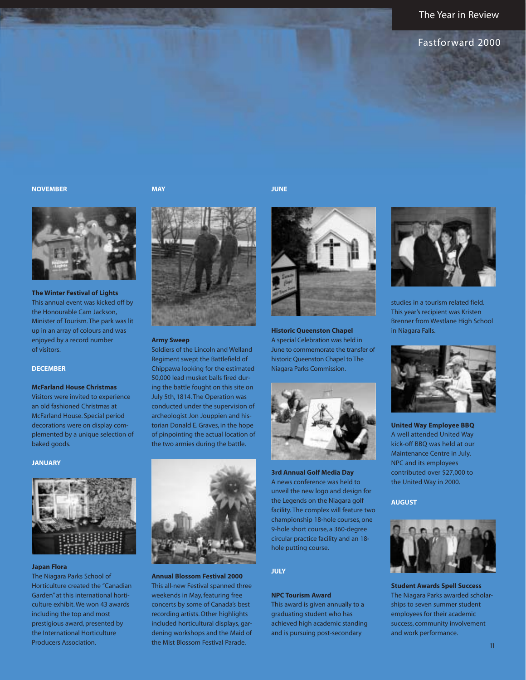#### The Year in Review

#### Fastforward 2000

#### **NOVEMBER**

**MAY**

**JUNE**



**The Winter Festival of Lights**

This annual event was kicked off by the Honourable Cam Jackson, Minister of Tourism. The park was lit up in an array of colours and was enjoyed by a record number of visitors.

#### **DECEMBER**

**McFarland House Christmas**

Visitors were invited to experience an old fashioned Christmas at McFarland House. Special period decorations were on display complemented by a unique selection of baked goods.

#### **JANUARY**



#### **Japan Flora**

The Niagara Parks School of Horticulture created the "Canadian Garden" at this international horticulture exhibit. We won 43 awards including the top and most prestigious award, presented by the International Horticulture Producers Association.



#### **Army Sweep**

Soldiers of the Lincoln and Welland Regiment swept the Battlefield of Chippawa looking for the estimated 50,000 lead musket balls fired during the battle fought on this site on July 5th, 1814. The Operation was conducted under the supervision of archeologist Jon Jouppien and historian Donald E.Graves, in the hope of pinpointing the actual location of the two armies during the battle.



**Annual Blossom Festival 2000** This all-new Festival spanned three weekends in May, featuring free concerts by some of Canada's best recording artists.Other highlights included horticultural displays, gardening workshops and the Maid of the Mist Blossom Festival Parade.



**Historic Queenston Chapel** A special Celebration was held in June to commemorate the transfer of historic Queenston Chapel to The Niagara Parks Commission.



**3rd Annual Golf Media Day** A news conference was held to unveil the new logo and design for the Legends on the Niagara golf facility. The complex will feature two championship 18-hole courses, one 9-hole short course, a 360-degree circular practice facility and an 18 hole putting course.

#### **JULY**

#### **NPC Tourism Award**

This award is given annually to a graduating student who has achieved high academic standing and is pursuing post-secondary



studies in a tourism related field. This year's recipient was Kristen Brenner from Westlane High School in Niagara Falls.



**United Way Employee BBQ** A well attended United Way kick-off BBQ was held at our Maintenance Centre in July. NPC and its employees contributed over \$27,000 to the United Way in 2000.

#### **AUGUST**



**Student Awards Spell Success** The Niagara Parks awarded scholarships to seven summer student employees for their academic success, community involvement and work performance.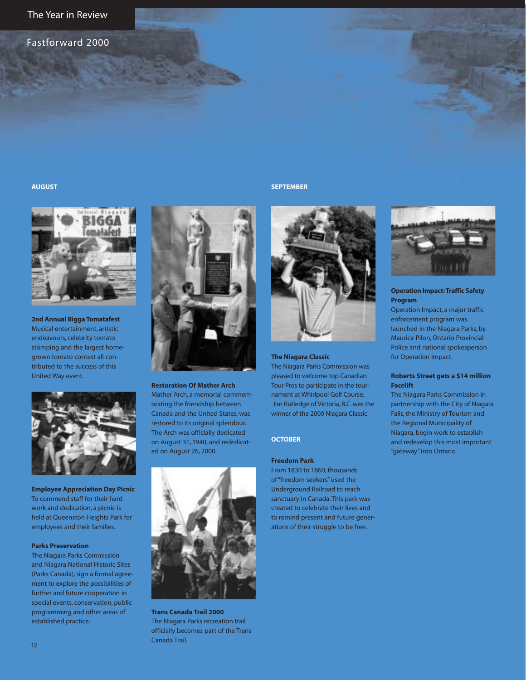Fastforward 2000

#### **AUGUST**



**2nd Annual Bigga Tomatafest** Musical entertainment, artistic endeavours, celebrity tomato stomping and the largest homegrown tomato contest all contributed to the success of this United Way event.



**Employee Appreciation Day Picnic** To commend staff for their hard work and dedication, a picnic is held at Queenston Heights Park for employees and their families.

#### **Parks Preservation**

The Niagara Parks Commission and Niagara National Historic Sites (Parks Canada), sign a formal agreement to explore the possibilities of further and future cooperation in special events, conservation, public programming and other areas of established practice.



**Restoration Of Mather Arch** Mather Arch, a memorial commemorating the friendship between Canada and the United States, was restored to its original splendour. The Arch was officially dedicated on August 31, 1940, and rededicated on August 26, 2000.



**Trans Canada Trail 2000** The Niagara Parks recreation trail officially becomes part of the Trans Canada Trail.

#### **SEPTEMBER**



#### **The Niagara Classic**

The Niagara Parks Commission was pleased to welcome top Canadian Tour Pros to participate in the tournament at Whirlpool Golf Course. Jim Rutledge of Victoria, B.C. was the winner of the 2000 Niagara Classic

#### **OCTOBER**

#### **Freedom Park**

From 1830 to 1860, thousands of "freedom seekers" used the Underground Railroad to reach sanctuary in Canada. This park was created to celebrate their lives and to remind present and future generations of their struggle to be free.



#### **Operation Impact: Traffic Safety Program**

Operation Impact, a major traffic enforcement program was launched in the Niagara Parks, by Maurice Pilon, Ontario Provincial Police and national spokesperson for Operation Impact.

#### **Roberts Street gets a \$14 million Facelift**

The Niagara Parks Commission in partnership with the City of Niagara Falls, the Ministry of Tourism and the Regional Municipality of Niagara, begin work to establish and redevelop this most important "gateway" into Ontario.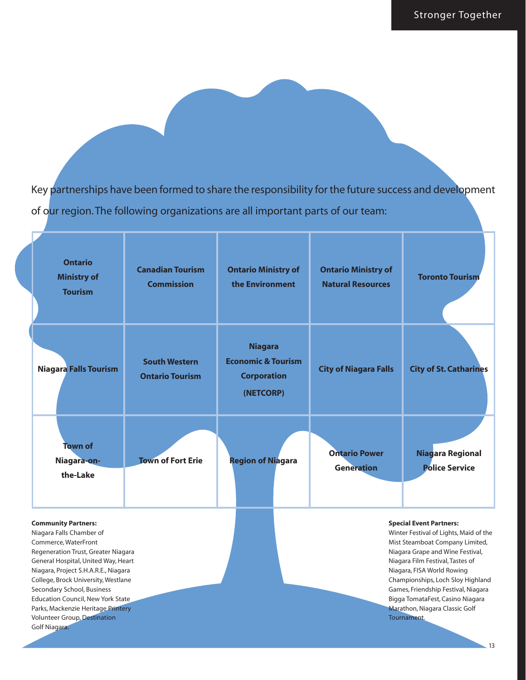Key partnerships have been formed to share the responsibility for the future success and development of our region. The following organizations are all important parts of our team:

| <b>Ontario</b><br><b>Ministry of</b><br><b>Tourism</b>                                                                                                                                                                                                                                                                                                                                                              | <b>Canadian Tourism</b><br><b>Commission</b>   | <b>Ontario Ministry of</b><br>the Environment                                      | <b>Ontario Ministry of</b><br><b>Natural Resources</b> | <b>Toronto Tourism</b>                                                                                                                                                                                                                                                                                                                                                             |
|---------------------------------------------------------------------------------------------------------------------------------------------------------------------------------------------------------------------------------------------------------------------------------------------------------------------------------------------------------------------------------------------------------------------|------------------------------------------------|------------------------------------------------------------------------------------|--------------------------------------------------------|------------------------------------------------------------------------------------------------------------------------------------------------------------------------------------------------------------------------------------------------------------------------------------------------------------------------------------------------------------------------------------|
| <b>Niagara Falls Tourism</b>                                                                                                                                                                                                                                                                                                                                                                                        | <b>South Western</b><br><b>Ontario Tourism</b> | <b>Niagara</b><br><b>Economic &amp; Tourism</b><br><b>Corporation</b><br>(NETCORP) | <b>City of Niagara Falls</b>                           | <b>City of St. Catharines</b>                                                                                                                                                                                                                                                                                                                                                      |
| <b>Town of</b><br>Niagara-on-<br>the-Lake                                                                                                                                                                                                                                                                                                                                                                           | <b>Town of Fort Erie</b>                       | <b>Region of Niagara</b>                                                           | <b>Ontario Power</b><br><b>Generation</b>              | Niagara Regional<br><b>Police Service</b>                                                                                                                                                                                                                                                                                                                                          |
| <b>Community Partners:</b><br>Niagara Falls Chamber of<br>Commerce, WaterFront<br>Regeneration Trust, Greater Niagara<br>General Hospital, United Way, Heart<br>Niagara, Project S.H.A.R.E., Niagara<br>College, Brock University, Westlane<br>Secondary School, Business<br><b>Education Council, New York State</b><br>Parks, Mackenzie Heritage Printery<br><b>Volunteer Group, Destination</b><br>Golf Niagara. |                                                |                                                                                    |                                                        | <b>Special Event Partners:</b><br>Winter Festival of Lights, Maid of the<br>Mist Steamboat Company Limited,<br>Niagara Grape and Wine Festival,<br>Niagara Film Festival, Tastes of<br>Niagara, FISA World Rowing<br>Championships, Loch Sloy Highland<br>Games, Friendship Festival, Niagara<br>Bigga TomataFest, Casino Niagara<br>Marathon, Niagara Classic Golf<br>Tournament. |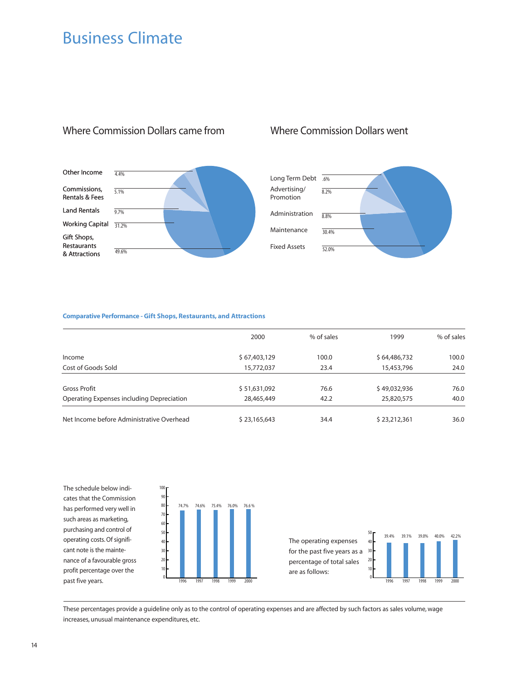### Business Climate



### Where Commission Dollars came from Where Commission Dollars went



#### **Comparative Performance - Gift Shops, Restaurants, and Attractions**

100

|                                           | 2000         | % of sales | 1999         | % of sales |
|-------------------------------------------|--------------|------------|--------------|------------|
| Income                                    | \$67,403,129 | 100.0      | \$64,486,732 | 100.0      |
| Cost of Goods Sold                        | 15,772,037   | 23.4       | 15,453,796   | 24.0       |
| Gross Profit                              | \$51,631,092 | 76.6       | \$49,032,936 | 76.0       |
| Operating Expenses including Depreciation | 28,465,449   | 42.2       | 25,820,575   | 40.0       |
| Net Income before Administrative Overhead | \$23,165,643 | 34.4       | \$23,212,361 | 36.0       |

The schedule below indicates that the Commission has performed very well in such areas as marketing, purchasing and control of operating costs. Of significant note is the maintenance of a favourable gross profit percentage over the past five years.



The operating expenses for the past five years as a percentage of total sales



These percentages provide a guideline only as to the control of operating expenses and are affected by such factors as sales volume, wage increases, unusual maintenance expenditures, etc.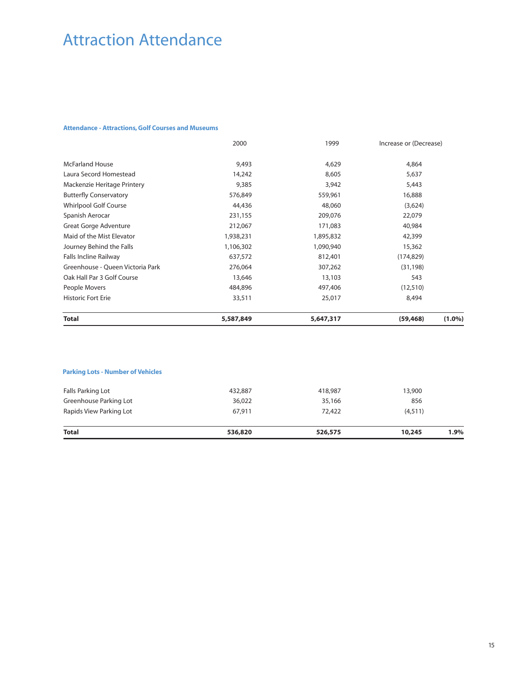# Attraction Attendance

#### **Attendance - Attractions, Golf Courses and Museums**

|                                  | 2000      | 1999      | Increase or (Decrease) |           |
|----------------------------------|-----------|-----------|------------------------|-----------|
| <b>McFarland House</b>           | 9,493     | 4,629     | 4,864                  |           |
| Laura Secord Homestead           | 14,242    | 8,605     | 5,637                  |           |
| Mackenzie Heritage Printery      | 9,385     | 3,942     | 5,443                  |           |
| <b>Butterfly Conservatory</b>    | 576,849   | 559,961   | 16,888                 |           |
| <b>Whirlpool Golf Course</b>     | 44,436    | 48,060    | (3,624)                |           |
| Spanish Aerocar                  | 231,155   | 209,076   | 22,079                 |           |
| Great Gorge Adventure            | 212,067   | 171,083   | 40,984                 |           |
| Maid of the Mist Elevator        | 1,938,231 | 1,895,832 | 42,399                 |           |
| Journey Behind the Falls         | 1,106,302 | 1,090,940 | 15,362                 |           |
| <b>Falls Incline Railway</b>     | 637,572   | 812,401   | (174, 829)             |           |
| Greenhouse - Oueen Victoria Park | 276,064   | 307,262   | (31, 198)              |           |
| Oak Hall Par 3 Golf Course       | 13,646    | 13,103    | 543                    |           |
| People Movers                    | 484,896   | 497,406   | (12,510)               |           |
| <b>Historic Fort Erie</b>        | 33,511    | 25,017    | 8,494                  |           |
| <b>Total</b>                     | 5,587,849 | 5,647,317 | (59, 468)              | $(1.0\%)$ |

#### **Parking Lots - Number of Vehicles**

| 67.911  | 72,422  | (4,511) |  |
|---------|---------|---------|--|
| 36,022  | 35,166  | 856     |  |
| 432,887 | 418,987 | 13,900  |  |
|         |         |         |  |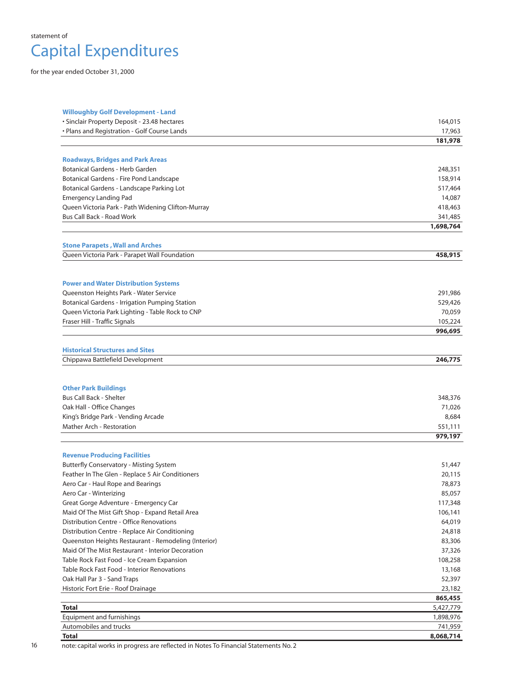

for the year ended October 31, 2000

| <b>Willoughby Golf Development - Land</b>             |                   |
|-------------------------------------------------------|-------------------|
| · Sinclair Property Deposit - 23.48 hectares          | 164,015           |
| • Plans and Registration - Golf Course Lands          | 17,963            |
|                                                       | 181,978           |
| <b>Roadways, Bridges and Park Areas</b>               |                   |
| Botanical Gardens - Herb Garden                       | 248,351           |
| Botanical Gardens - Fire Pond Landscape               | 158,914           |
| Botanical Gardens - Landscape Parking Lot             | 517,464           |
| <b>Emergency Landing Pad</b>                          | 14,087            |
| Queen Victoria Park - Path Widening Clifton-Murray    | 418,463           |
| Bus Call Back - Road Work                             | 341,485           |
|                                                       | 1,698,764         |
| <b>Stone Parapets, Wall and Arches</b>                |                   |
| Queen Victoria Park - Parapet Wall Foundation         | 458,915           |
|                                                       |                   |
| <b>Power and Water Distribution Systems</b>           |                   |
| Queenston Heights Park - Water Service                | 291,986           |
| <b>Botanical Gardens - Irrigation Pumping Station</b> | 529,426           |
| Queen Victoria Park Lighting - Table Rock to CNP      | 70,059            |
| Fraser Hill - Traffic Signals                         | 105,224           |
|                                                       | 996,695           |
| <b>Historical Structures and Sites</b>                |                   |
| Chippawa Battlefield Development                      | 246,775           |
|                                                       |                   |
| <b>Other Park Buildings</b>                           |                   |
| <b>Bus Call Back - Shelter</b>                        | 348,376           |
| Oak Hall - Office Changes                             | 71,026            |
| King's Bridge Park - Vending Arcade                   | 8,684             |
| <b>Mather Arch - Restoration</b>                      | 551,111           |
|                                                       | 979,197           |
| <b>Revenue Producing Facilities</b>                   |                   |
| Butterfly Conservatory - Misting System               | 51,447            |
| Feather In The Glen - Replace 5 Air Conditioners      | 20,115            |
| Aero Car - Haul Rope and Bearings                     | 78,873            |
| Aero Car - Winterizing                                | 85,057            |
| Great Gorge Adventure - Emergency Car                 | 117,348           |
| Maid Of The Mist Gift Shop - Expand Retail Area       | 106,141           |
| Distribution Centre - Office Renovations              | 64,019            |
| Distribution Centre - Replace Air Conditioning        | 24,818            |
| Queenston Heights Restaurant - Remodeling (Interior)  | 83,306            |
| Maid Of The Mist Restaurant - Interior Decoration     | 37,326            |
| Table Rock Fast Food - Ice Cream Expansion            | 108,258           |
| Table Rock Fast Food - Interior Renovations           | 13,168            |
| Oak Hall Par 3 - Sand Traps                           | 52,397            |
| Historic Fort Erie - Roof Drainage                    | 23,182<br>865,455 |
| <b>Total</b>                                          | 5,427,779         |
| <b>Equipment and furnishings</b>                      | 1,898,976         |
| Automobiles and trucks                                | 741,959           |
| <b>Total</b>                                          | 8,068,714         |

16 note: capital works in progress are reflected in Notes To Financial Statements No. 2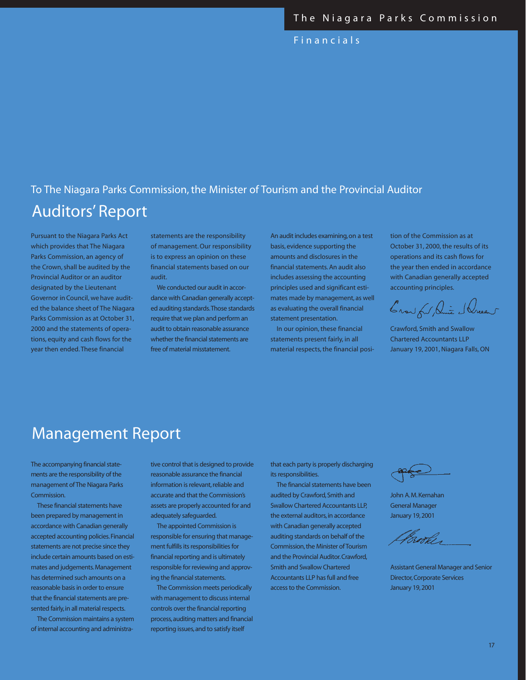Fina ncials

### Auditors' Report To The Niagara Parks Commission, the Minister of Tourism and the Provincial Auditor

Pursuant to the Niagara Parks Act which provides that The Niagara Parks Commission, an agency of the Crown, shall be audited by the Provincial Auditor or an auditor designated by the Lieutenant Governor inCouncil, we have audited the balance sheet of The Niagara Parks Commission as at October 31, 2000 and the statements of operations, equity and cash flows for the year then ended. These financial

statements are the responsibility of management. Our responsibility is to express an opinion on these financial statements based on our audit.

We conducted our audit in accordance with Canadian generally accepted auditing standards.Those standards require that we plan and perform an audit to obtain reasonable assurance whether the financial statements are free of material misstatement.

An audit includes examining,on a test basis, evidence supporting the amounts and disclosures in the financial statements. An audit also includes assessing the accounting principles used and significant estimates made by management, as well as evaluating the overall financial statement presentation.

In our opinion, these financial statements present fairly, in all material respects, the financial position of the Commission as at October 31, 2000, the results of its operations and its cash flows for the year then ended in accordance with Canadian generally accepted accounting principles.

Crow fu Die Slucent

Crawford, Smith and Swallow Chartered Accountants LLP January 19, 2001, Niagara Falls, ON

### Management Report

The accompanying financial statements are the responsibility of the management of The Niagara Parks Commission.

These financial statements have been prepared by management in accordance with Canadian generally accepted accounting policies.Financial statements are not precise since they include certain amounts based on estimates and judgements.Management has determined such amounts on a reasonable basis in order to ensure that the financial statements are presented fairly, in all material respects.

The Commission maintains a system of internal accounting and administrative control that is designed to provide reasonable assurance the financial information is relevant, reliable and accurate and that the Commission's assets are properly accounted for and adequately safeguarded.

The appointed Commission is responsible for ensuring that management fulfills its responsibilities for financial reporting and is ultimately responsible for reviewing and approving the financial statements.

The Commission meets periodically with management to discuss internal controls over the financial reporting process,auditing matters and financial reporting issues,and to satisfy itself

that each party is properly discharging its responsibilities.

The financial statements have been audited by Crawford,Smith and Swallow Chartered Accountants LLP, the external auditors, in accordance with Canadian generally accepted auditing standards on behalf of the Commission, the Minister of Tourism and the Provincial Auditor.Crawford, Smith and Swallow Chartered Accountants LLP has full and free access to the Commission.

John A.M.Kernahan General Manager January 19,2001

Brooker

Assistant General Manager and Senior Director, Corporate Services January 19,2001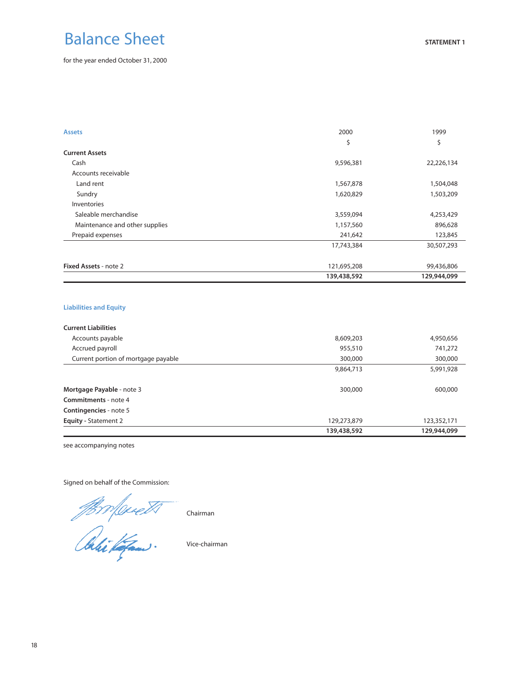# Balance Sheet

for the year ended October 31, 2000

| <b>Assets</b>                  | 2000        | 1999        |
|--------------------------------|-------------|-------------|
|                                | \$          | \$          |
| <b>Current Assets</b>          |             |             |
| Cash                           | 9,596,381   | 22,226,134  |
| Accounts receivable            |             |             |
| Land rent                      | 1,567,878   | 1,504,048   |
| Sundry                         | 1,620,829   | 1,503,209   |
| Inventories                    |             |             |
| Saleable merchandise           | 3,559,094   | 4,253,429   |
| Maintenance and other supplies | 1,157,560   | 896,628     |
| Prepaid expenses               | 241,642     | 123,845     |
|                                | 17,743,384  | 30,507,293  |
| <b>Fixed Assets - note 2</b>   | 121,695,208 | 99,436,806  |
|                                | 139,438,592 | 129,944,099 |

#### **Liabilities and Equity**

| <b>Current Liabilities</b>          |             |             |
|-------------------------------------|-------------|-------------|
| Accounts payable                    | 8,609,203   | 4,950,656   |
| Accrued payroll                     | 955,510     | 741,272     |
| Current portion of mortgage payable | 300,000     | 300,000     |
|                                     | 9,864,713   | 5,991,928   |
| Mortgage Payable - note 3           | 300,000     | 600,000     |
| Commitments - note 4                |             |             |
| Contingencies - note 5              |             |             |
| <b>Equity - Statement 2</b>         | 129,273,879 | 123,352,171 |
|                                     | 139,438,592 | 129,944,099 |

see accompanying notes

Signed on behalf of the Commission:

Chairman

Vice-chairman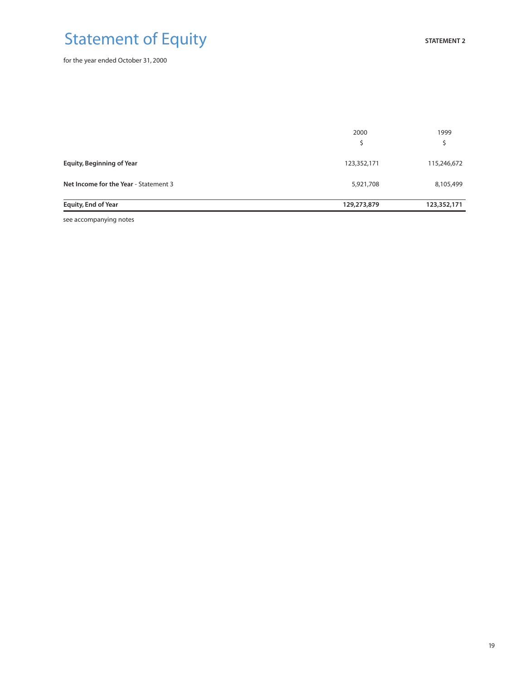# Statement of Equity

for the year ended October 31, 2000

| <b>Equity, End of Year</b>            | 129,273,879 | 123,352,171 |
|---------------------------------------|-------------|-------------|
| Net Income for the Year - Statement 3 | 5,921,708   | 8,105,499   |
| <b>Equity, Beginning of Year</b>      | 123,352,171 | 115,246,672 |
|                                       | 2000        | 1999        |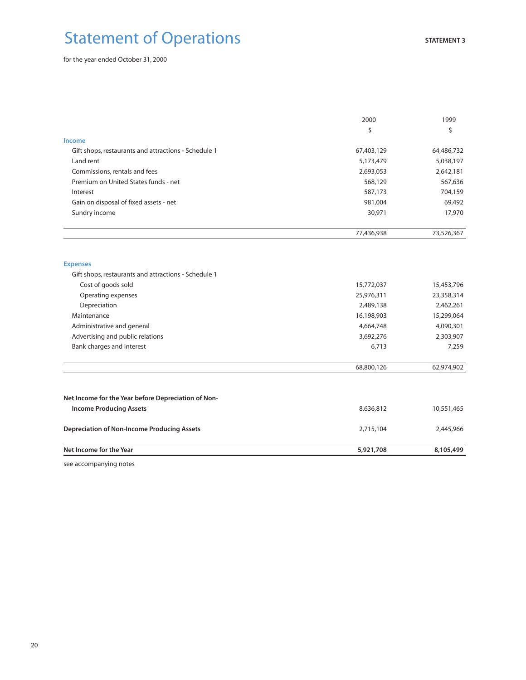# Statement of Operations

for the year ended October 31, 2000

|                                                      | 2000       | 1999       |
|------------------------------------------------------|------------|------------|
|                                                      | \$         | \$         |
| <b>Income</b>                                        |            |            |
| Gift shops, restaurants and attractions - Schedule 1 | 67,403,129 | 64,486,732 |
| Land rent                                            | 5,173,479  | 5,038,197  |
| Commissions, rentals and fees                        | 2,693,053  | 2,642,181  |
| Premium on United States funds - net                 | 568,129    | 567,636    |
| Interest                                             | 587,173    | 704,159    |
| Gain on disposal of fixed assets - net               | 981,004    | 69,492     |
| Sundry income                                        | 30,971     | 17,970     |
|                                                      | 77,436,938 | 73,526,367 |
| <b>Expenses</b>                                      |            |            |
| Gift shops, restaurants and attractions - Schedule 1 |            |            |
| Cost of goods sold                                   | 15,772,037 | 15,453,796 |
| Operating expenses                                   | 25,976,311 | 23,358,314 |
| Depreciation                                         | 2,489,138  | 2,462,261  |
| Maintenance                                          | 16,198,903 | 15,299,064 |
| Administrative and general                           | 4,664,748  | 4,090,301  |
| Advertising and public relations                     | 3,692,276  | 2,303,907  |
| Bank charges and interest                            | 6,713      | 7,259      |
|                                                      | 68,800,126 | 62,974,902 |
| Net Income for the Year before Depreciation of Non-  |            |            |
| <b>Income Producing Assets</b>                       | 8,636,812  | 10,551,465 |
| <b>Depreciation of Non-Income Producing Assets</b>   | 2,715,104  | 2,445,966  |
| Net Income for the Year                              | 5,921,708  | 8,105,499  |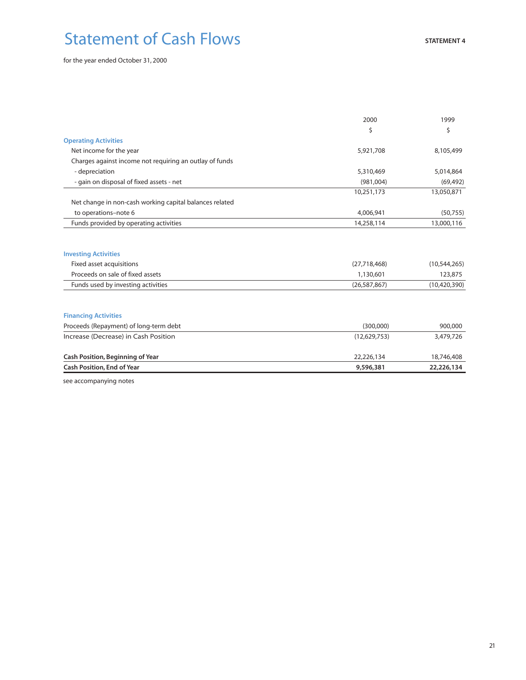# Statement of Cash Flows

for the year ended October 31, 2000

|                                                         | 2000           | 1999           |
|---------------------------------------------------------|----------------|----------------|
|                                                         | \$             | Ś              |
| <b>Operating Activities</b>                             |                |                |
| Net income for the year                                 | 5,921,708      | 8,105,499      |
| Charges against income not requiring an outlay of funds |                |                |
| - depreciation                                          | 5,310,469      | 5,014,864      |
| - gain on disposal of fixed assets - net                | (981,004)      | (69, 492)      |
|                                                         | 10,251,173     | 13,050,871     |
| Net change in non-cash working capital balances related |                |                |
| to operations-note 6                                    | 4,006,941      | (50, 755)      |
| Funds provided by operating activities                  | 14,258,114     | 13,000,116     |
| <b>Investing Activities</b>                             |                |                |
| Fixed asset acquisitions                                | (27,718,468)   | (10,544,265)   |
| Proceeds on sale of fixed assets                        | 1,130,601      | 123,875        |
| Funds used by investing activities                      | (26, 587, 867) | (10, 420, 390) |
| <b>Financing Activities</b>                             |                |                |
| Proceeds (Repayment) of long-term debt                  | (300,000)      | 900,000        |
| Increase (Decrease) in Cash Position                    | (12,629,753)   | 3,479,726      |
| <b>Cash Position, Beginning of Year</b>                 | 22,226,134     | 18,746,408     |
| <b>Cash Position, End of Year</b>                       | 9,596,381      | 22,226,134     |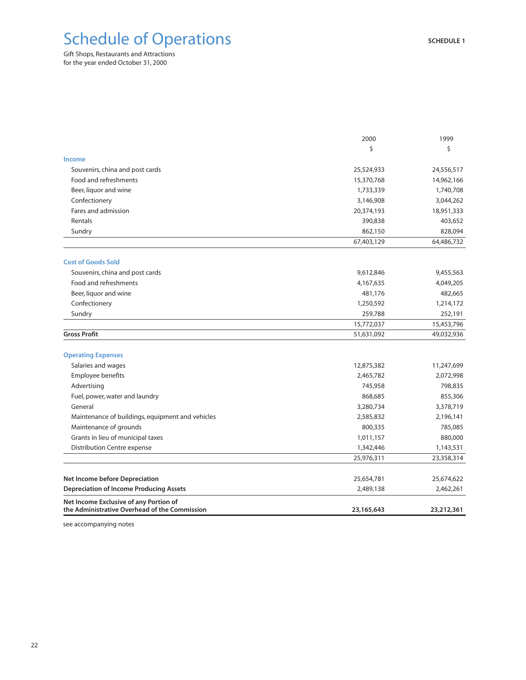# Schedule of Operations

for the year ended October 31, 2000 Gift Shops, Restaurants and Attractions

|                                                                                         | 2000       | 1999       |
|-----------------------------------------------------------------------------------------|------------|------------|
|                                                                                         | \$         | Ś          |
| Income                                                                                  |            |            |
| Souvenirs, china and post cards                                                         | 25,524,933 | 24,556,517 |
| Food and refreshments                                                                   | 15,370,768 | 14,962,166 |
| Beer, liquor and wine                                                                   | 1,733,339  | 1,740,708  |
| Confectionery                                                                           | 3,146,908  | 3,044,262  |
| Fares and admission                                                                     | 20,374,193 | 18,951,333 |
| Rentals                                                                                 | 390,838    | 403,652    |
| Sundry                                                                                  | 862,150    | 828,094    |
|                                                                                         | 67,403,129 | 64,486,732 |
| <b>Cost of Goods Sold</b>                                                               |            |            |
| Souvenirs, china and post cards                                                         | 9,612,846  | 9,455,563  |
| Food and refreshments                                                                   | 4,167,635  | 4,049,205  |
| Beer, liquor and wine                                                                   | 481,176    | 482,665    |
| Confectionery                                                                           | 1,250,592  | 1,214,172  |
| Sundry                                                                                  | 259,788    | 252,191    |
|                                                                                         | 15,772,037 | 15,453,796 |
| <b>Gross Profit</b>                                                                     | 51,631,092 | 49,032,936 |
| <b>Operating Expenses</b>                                                               |            |            |
| Salaries and wages                                                                      | 12,875,382 | 11,247,699 |
| Employee benefits                                                                       | 2,465,782  | 2,072,998  |
| Advertising                                                                             | 745,958    | 798,835    |
| Fuel, power, water and laundry                                                          | 868,685    | 855,306    |
| General                                                                                 | 3,280,734  | 3,378,719  |
| Maintenance of buildings, equipment and vehicles                                        | 2,585,832  | 2,196,141  |
| Maintenance of grounds                                                                  | 800,335    | 785,085    |
| Grants in lieu of municipal taxes                                                       | 1,011,157  | 880,000    |
| Distribution Centre expense                                                             | 1,342,446  | 1,143,531  |
|                                                                                         | 25,976,311 | 23,358,314 |
| <b>Net Income before Depreciation</b>                                                   | 25,654,781 | 25,674,622 |
| <b>Depreciation of Income Producing Assets</b>                                          | 2,489,138  | 2,462,261  |
| Net Income Exclusive of any Portion of<br>the Administrative Overhead of the Commission | 23,165,643 | 23,212,361 |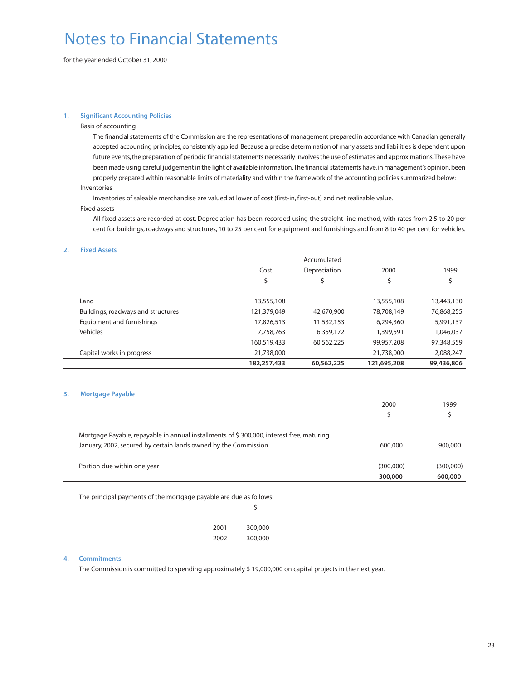# Notes to Financial Statements

for the year ended October 31, 2000

#### **1. Significant Accounting Policies**

#### Basis of accounting

The financial statements of the Commission are the representations of management prepared in accordance with Canadian generally accepted accounting principles, consistently applied. Because a precise determination of many assets and liabilities is dependent upon future events,the preparation of periodic financial statements necessarily involves the use of estimates and approximations.These have been made using careful judgement in the light of available information.The financial statements have,in management's opinion,been properly prepared within reasonable limits of materiality and within the framework of the accounting policies summarized below: Inventories

Inventories of saleable merchandise are valued at lower of cost (first-in, first-out) and net realizable value.

#### Fixed assets

All fixed assets are recorded at cost. Depreciation has been recorded using the straight-line method, with rates from 2.5 to 20 per cent for buildings, roadways and structures, 10 to 25 per cent for equipment and furnishings and from 8 to 40 per cent for vehicles.

#### **2. Fixed Assets**

|                                    |             | Accumulated  |             |            |
|------------------------------------|-------------|--------------|-------------|------------|
|                                    | Cost        | Depreciation | 2000        | 1999       |
|                                    | \$          | \$           | \$          | \$         |
| Land                               | 13,555,108  |              | 13,555,108  | 13,443,130 |
| Buildings, roadways and structures | 121,379,049 | 42,670,900   | 78,708,149  | 76,868,255 |
| Equipment and furnishings          | 17,826,513  | 11,532,153   | 6,294,360   | 5,991,137  |
| Vehicles                           | 7,758,763   | 6,359,172    | 1,399,591   | 1,046,037  |
|                                    | 160,519,433 | 60,562,225   | 99,957,208  | 97,348,559 |
| Capital works in progress          | 21,738,000  |              | 21,738,000  | 2,088,247  |
|                                    | 182,257,433 | 60,562,225   | 121,695,208 | 99,436,806 |

#### **3. Mortgage Payable**

|                                                                                          | 2000      | 1999      |
|------------------------------------------------------------------------------------------|-----------|-----------|
|                                                                                          |           |           |
| Mortgage Payable, repayable in annual installments of \$300,000, interest free, maturing |           |           |
| January, 2002, secured by certain lands owned by the Commission                          | 600,000   | 900,000   |
| Portion due within one year                                                              | (300,000) | (300,000) |
|                                                                                          | 300,000   | 600,000   |

The principal payments of the mortgage payable are due as follows:

|  | s<br>٦ |
|--|--------|
|  |        |
|  |        |

| 2001 | 300,000 |
|------|---------|
| 2002 | 300,000 |

#### **4. Commitments**

The Commission is committed to spending approximately \$ 19,000,000 on capital projects in the next year.